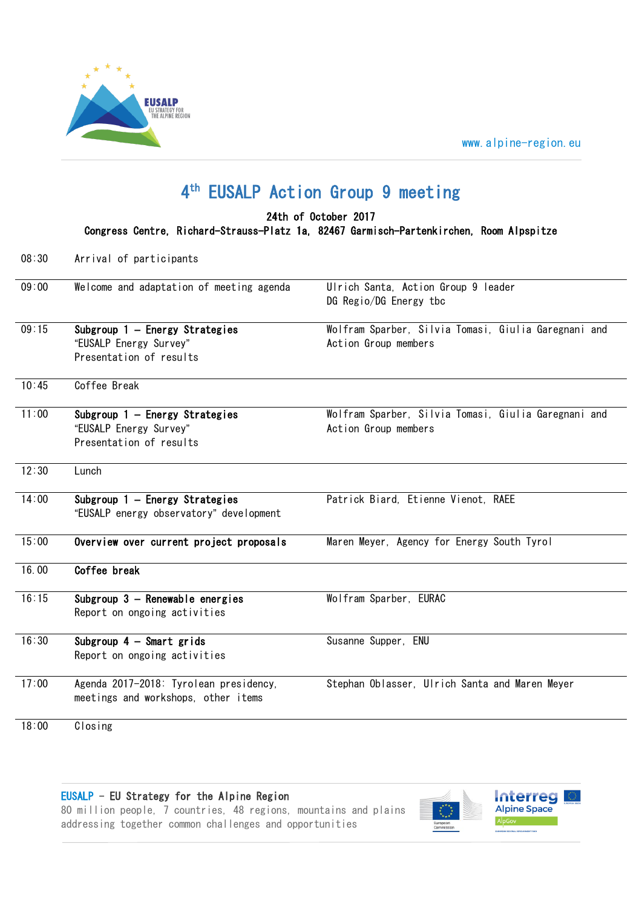



## 4 th EUSALP Action Group 9 meeting

24th of October 2017

Congress Centre, Richard-Strauss-Platz 1a, 82467 Garmisch-Partenkirchen, Room Alpspitze

08:30 Arrival of participants

| 09:00 | Welcome and adaptation of meeting agenda                                            | Ulrich Santa, Action Group 9 leader<br>DG Regio/DG Energy tbc                |
|-------|-------------------------------------------------------------------------------------|------------------------------------------------------------------------------|
| 09:15 | Subgroup 1 - Energy Strategies<br>"EUSALP Energy Survey"<br>Presentation of results | Wolfram Sparber, Silvia Tomasi, Giulia Garegnani and<br>Action Group members |
| 10:45 | Coffee Break                                                                        |                                                                              |
| 11:00 | Subgroup 1 - Energy Strategies<br>"EUSALP Energy Survey"<br>Presentation of results | Wolfram Sparber, Silvia Tomasi, Giulia Garegnani and<br>Action Group members |
| 12:30 | Lunch                                                                               |                                                                              |
| 14:00 | Subgroup 1 - Energy Strategies<br>"EUSALP energy observatory" development           | Patrick Biard, Etienne Vienot, RAEE                                          |
| 15:00 | Overview over current project proposals                                             | Maren Meyer, Agency for Energy South Tyrol                                   |
| 16.00 | Coffee break                                                                        |                                                                              |
| 16:15 | Subgroup 3 - Renewable energies<br>Report on ongoing activities                     | Wolfram Sparber, EURAC                                                       |
| 16:30 | Subgroup $4$ - Smart grids<br>Report on ongoing activities                          | Susanne Supper, ENU                                                          |
| 17:00 | Agenda 2017-2018: Tyrolean presidency,<br>meetings and workshops, other items       | Stephan Oblasser, Ulrich Santa and Maren Meyer                               |
| 18:00 | Closing                                                                             |                                                                              |

EUSALP - EU Strategy for the Alpine Region

80 million people, 7 countries, 48 regions, mountains and plains addressing together common challenges and opportunities